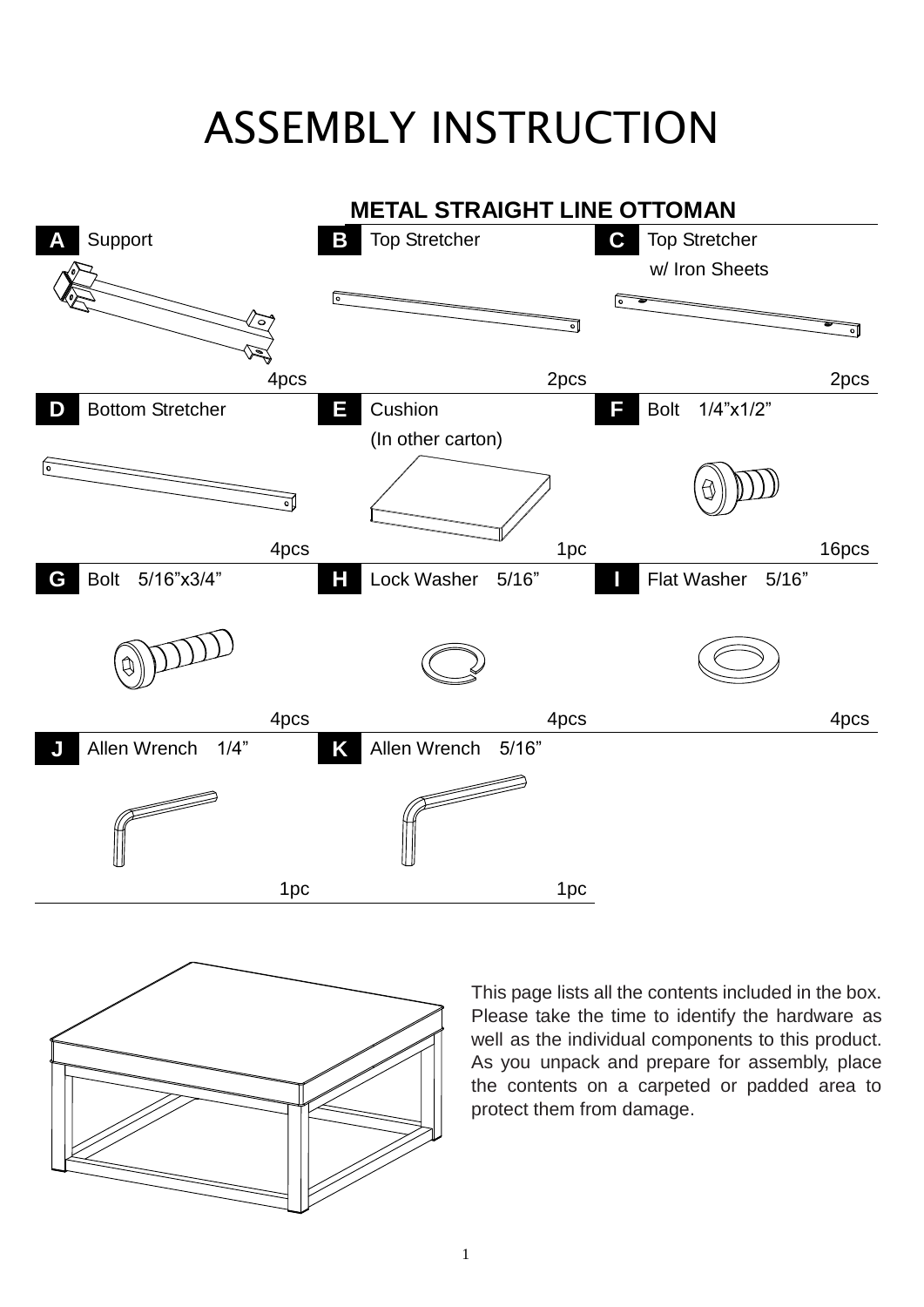## ASSEMBLY INSTRUCTION





This page lists all the contents included in the box. Please take the time to identify the hardware as well as the individual components to this product. As you unpack and prepare for assembly, place the contents on a carpeted or padded area to protect them from damage.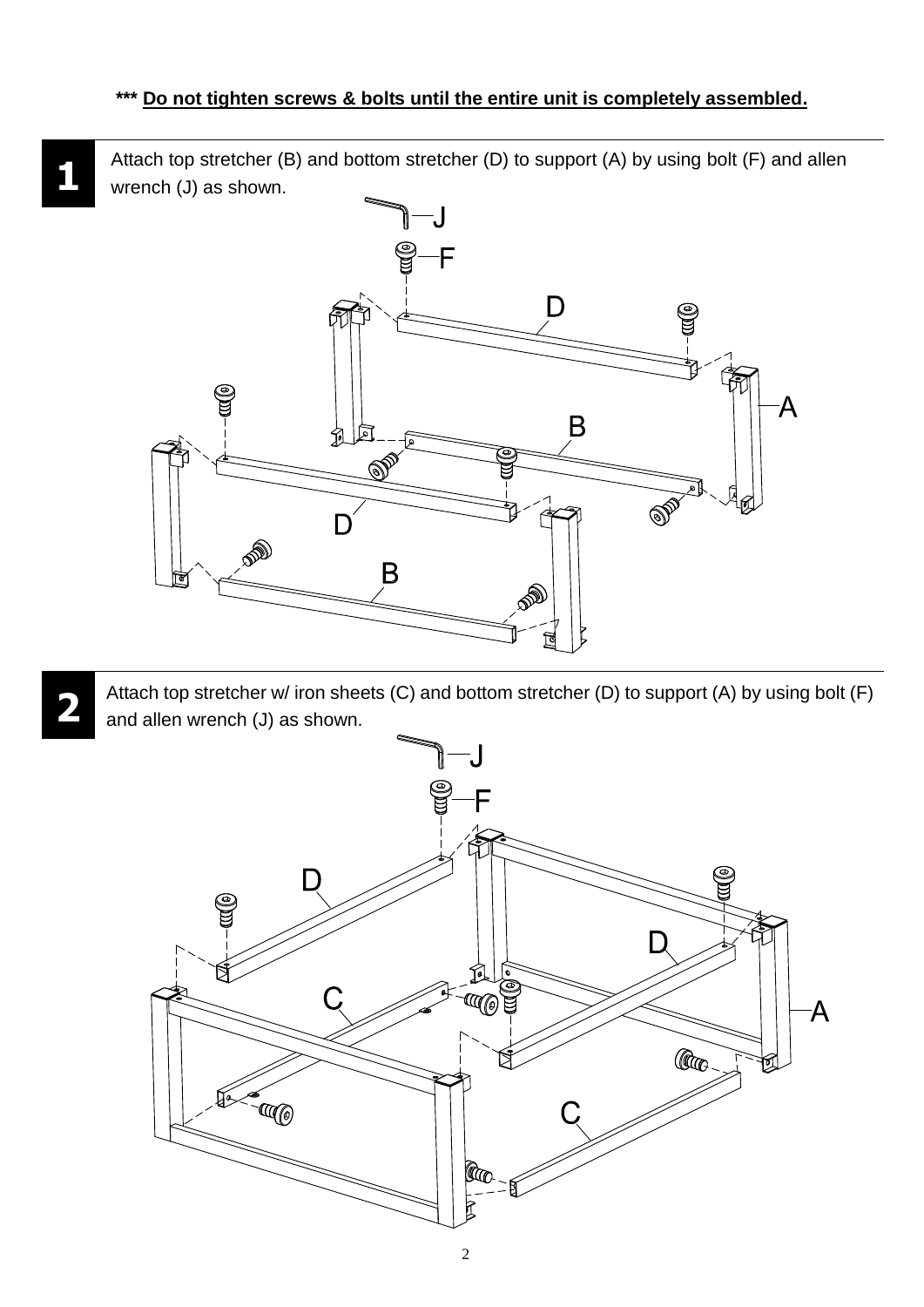Attach top stretcher (B) and bottom stretcher (D) to support (A) by using bolt (F) and allen wrench (J) as shown.



Attach top stretcher w/ iron sheets (C) and bottom stretcher (D) to support (A) by using bolt (F) and allen wrench (J) as shown.



2

**2**